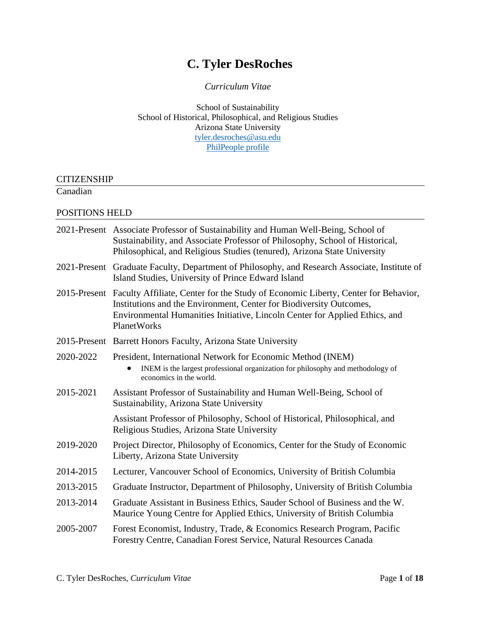# **C. Tyler DesRoches**

*Curriculum Vitae*

School of Sustainability School of Historical, Philosophical, and Religious Studies Arizona State University [tyler.desroches@asu.edu](mailto:tyler.desroches@asu.edu) [PhilPeople profile](https://philpeople.org/profiles/c-tyler-desroches)

#### **CITIZENSHIP**

Canadian

## POSITIONS HELD

|           | 2021-Present Associate Professor of Sustainability and Human Well-Being, School of<br>Sustainability, and Associate Professor of Philosophy, School of Historical,<br>Philosophical, and Religious Studies (tenured), Arizona State University                      |
|-----------|---------------------------------------------------------------------------------------------------------------------------------------------------------------------------------------------------------------------------------------------------------------------|
|           | 2021-Present Graduate Faculty, Department of Philosophy, and Research Associate, Institute of<br>Island Studies, University of Prince Edward Island                                                                                                                 |
|           | 2015-Present Faculty Affiliate, Center for the Study of Economic Liberty, Center for Behavior,<br>Institutions and the Environment, Center for Biodiversity Outcomes,<br>Environmental Humanities Initiative, Lincoln Center for Applied Ethics, and<br>PlanetWorks |
|           | 2015-Present Barrett Honors Faculty, Arizona State University                                                                                                                                                                                                       |
| 2020-2022 | President, International Network for Economic Method (INEM)<br>INEM is the largest professional organization for philosophy and methodology of<br>economics in the world.                                                                                           |
| 2015-2021 | Assistant Professor of Sustainability and Human Well-Being, School of<br>Sustainability, Arizona State University                                                                                                                                                   |
|           | Assistant Professor of Philosophy, School of Historical, Philosophical, and<br>Religious Studies, Arizona State University                                                                                                                                          |
| 2019-2020 | Project Director, Philosophy of Economics, Center for the Study of Economic<br>Liberty, Arizona State University                                                                                                                                                    |
| 2014-2015 | Lecturer, Vancouver School of Economics, University of British Columbia                                                                                                                                                                                             |
| 2013-2015 | Graduate Instructor, Department of Philosophy, University of British Columbia                                                                                                                                                                                       |
| 2013-2014 | Graduate Assistant in Business Ethics, Sauder School of Business and the W.<br>Maurice Young Centre for Applied Ethics, University of British Columbia                                                                                                              |
| 2005-2007 | Forest Economist, Industry, Trade, & Economics Research Program, Pacific<br>Forestry Centre, Canadian Forest Service, Natural Resources Canada                                                                                                                      |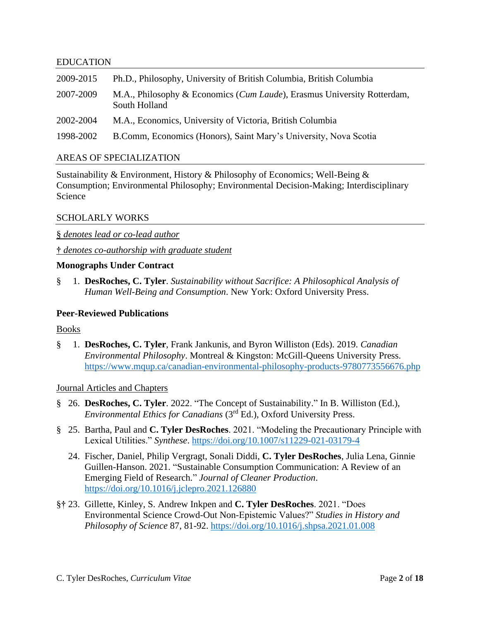#### EDUCATION

| 2009-2015 | Ph.D., Philosophy, University of British Columbia, British Columbia                               |
|-----------|---------------------------------------------------------------------------------------------------|
| 2007-2009 | M.A., Philosophy & Economics ( <i>Cum Laude</i> ), Erasmus University Rotterdam,<br>South Holland |
| 2002-2004 | M.A., Economics, University of Victoria, British Columbia                                         |
| 1998-2002 | B.Comm, Economics (Honors), Saint Mary's University, Nova Scotia                                  |

## AREAS OF SPECIALIZATION

Sustainability & Environment, History & Philosophy of Economics; Well-Being & Consumption; Environmental Philosophy; Environmental Decision-Making; Interdisciplinary Science

## SCHOLARLY WORKS

§ *denotes lead or co-lead author*

**†** *denotes co-authorship with graduate student*

#### **Monographs Under Contract**

§ 1. **DesRoches, C. Tyler**. *Sustainability without Sacrifice: A Philosophical Analysis of Human Well-Being and Consumption*. New York: Oxford University Press.

## **Peer-Reviewed Publications**

#### Books

§ 1. **DesRoches, C. Tyler**, Frank Jankunis, and Byron Williston (Eds). 2019. *Canadian Environmental Philosophy*. Montreal & Kingston: McGill-Queens University Press. <https://www.mqup.ca/canadian-environmental-philosophy-products-9780773556676.php>

#### Journal Articles and Chapters

- § 26. **DesRoches, C. Tyler**. 2022. "The Concept of Sustainability." In B. Williston (Ed.), *Environmental Ethics for Canadians* (3rd Ed.), Oxford University Press.
- § 25. Bartha, Paul and **C. Tyler DesRoches**. 2021. "Modeling the Precautionary Principle with Lexical Utilities." *Synthese*.<https://doi.org/10.1007/s11229-021-03179-4>
	- 24. Fischer, Daniel, Philip Vergragt, Sonali Diddi, **C. Tyler DesRoches**, Julia Lena, Ginnie Guillen-Hanson. 2021. "Sustainable Consumption Communication: A Review of an Emerging Field of Research." *Journal of Cleaner Production*. <https://doi.org/10.1016/j.jclepro.2021.126880>
- §**†** 23. Gillette, Kinley, S. Andrew Inkpen and **C. Tyler DesRoches**. 2021. "Does Environmental Science Crowd-Out Non-Epistemic Values?" *Studies in History and Philosophy of Science* 87, 81-92.<https://doi.org/10.1016/j.shpsa.2021.01.008>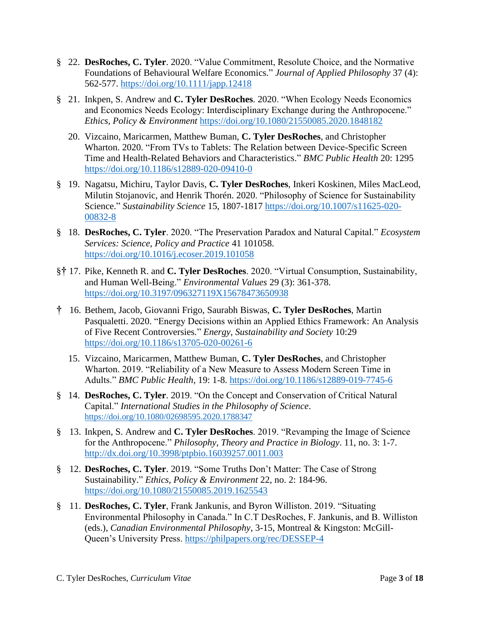- § 22. **DesRoches, C. Tyler**. 2020. "Value Commitment, Resolute Choice, and the Normative Foundations of Behavioural Welfare Economics." *Journal of Applied Philosophy* 37 (4): 562-577. <https://doi.org/10.1111/japp.12418>
- § 21. Inkpen, S. Andrew and **C. Tyler DesRoches**. 2020. "When Ecology Needs Economics and Economics Needs Ecology: Interdisciplinary Exchange during the Anthropocene." *Ethics, Policy & Environment* <https://doi.org/10.1080/21550085.2020.1848182>
	- 20. Vizcaino, Maricarmen, Matthew Buman, **C. Tyler DesRoches**, and Christopher Wharton. 2020. "From TVs to Tablets: The Relation between Device-Specific Screen Time and Health-Related Behaviors and Characteristics." *BMC Public Health* 20: 1295 <https://doi.org/10.1186/s12889-020-09410-0>
- § 19. Nagatsu, Michiru, Taylor Davis, **C. Tyler DesRoches**, Inkeri Koskinen, Miles MacLeod, Milutin Stojanovic, and Henrik Thorén. 2020. "Philosophy of Science for Sustainability Science." *Sustainability Science* 15, 1807-1817 [https://doi.org/10.1007/s11625-020-](https://doi.org/10.1007/s11625-020-00832-8) [00832-8](https://doi.org/10.1007/s11625-020-00832-8)
- § 18. **DesRoches, C. Tyler**. 2020. "The Preservation Paradox and Natural Capital." *Ecosystem Services: Science, Policy and Practice* 41 101058. <https://doi.org/10.1016/j.ecoser.2019.101058>
- §**†** 17. Pike, Kenneth R. and **C. Tyler DesRoches**. 2020. "Virtual Consumption, Sustainability, and Human Well-Being." *Environmental Values* 29 (3): 361-378. <https://doi.org/10.3197/096327119X15678473650938>
- **†** 16. Bethem, Jacob, Giovanni Frigo, Saurabh Biswas, **C. Tyler DesRoches**, Martin Pasqualetti. 2020. "Energy Decisions within an Applied Ethics Framework: An Analysis of Five Recent Controversies." *Energy, Sustainability and Society* 10:29 <https://doi.org/10.1186/s13705-020-00261-6>
	- 15. Vizcaino, Maricarmen, Matthew Buman, **C. Tyler DesRoches**, and Christopher Wharton. 2019. "Reliability of a New Measure to Assess Modern Screen Time in Adults." *BMC Public Health*, 19: 1-8. <https://doi.org/10.1186/s12889-019-7745-6>
- § 14. **DesRoches, C. Tyler**. 2019. "On the Concept and Conservation of Critical Natural Capital." *International Studies in the Philosophy of Science*. <https://doi.org/10.1080/02698595.2020.1788347>
- §13. Inkpen, S. Andrew and **C. Tyler DesRoches**. 2019. "Revamping the Image of Science for the Anthropocene." *Philosophy, Theory and Practice in Biology*. 11, no. 3: 1-7. <http://dx.doi.org/10.3998/ptpbio.16039257.0011.003>
- §12. **DesRoches, C. Tyler**. 2019. "Some Truths Don't Matter: The Case of Strong Sustainability." *Ethics, Policy & Environment* 22, no. 2: 184-96. <https://doi.org/10.1080/21550085.2019.1625543>
- §11. **DesRoches, C. Tyler**, Frank Jankunis, and Byron Williston. 2019. "Situating Environmental Philosophy in Canada." In C.T DesRoches, F. Jankunis, and B. Williston (eds.), *Canadian Environmental Philosophy*, 3-15, Montreal & Kingston: McGill-Queen's University Press.<https://philpapers.org/rec/DESSEP-4>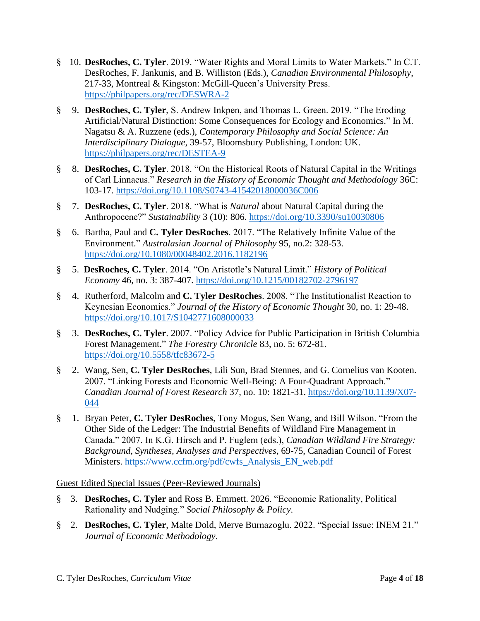- §10. **DesRoches, C. Tyler**. 2019. "Water Rights and Moral Limits to Water Markets." In C.T. DesRoches, F. Jankunis, and B. Williston (Eds.), *Canadian Environmental Philosophy*, 217-33, Montreal & Kingston: McGill-Queen's University Press. <https://philpapers.org/rec/DESWRA-2>
- §9. **DesRoches, C. Tyler**, S. Andrew Inkpen, and Thomas L. Green. 2019. "The Eroding Artificial/Natural Distinction: Some Consequences for Ecology and Economics." In M. Nagatsu & A. Ruzzene (eds.), *Contemporary Philosophy and Social Science: An Interdisciplinary Dialogue*, 39-57, Bloomsbury Publishing, London: UK. <https://philpapers.org/rec/DESTEA-9>
- §8. **DesRoches, C. Tyler**. 2018. "On the Historical Roots of Natural Capital in the Writings of Carl Linnaeus." *Research in the History of Economic Thought and Methodology* 36C: 103-17. <https://doi.org/10.1108/S0743-41542018000036C006>
- §7. **DesRoches, C. Tyler**. 2018. "What is *Natural* about Natural Capital during the Anthropocene?" *Sustainability* 3 (10): 806. <https://doi.org/10.3390/su10030806>
- §6. Bartha, Paul and **C. Tyler DesRoches**. 2017. "The Relatively Infinite Value of the Environment." *Australasian Journal of Philosophy* 95, no.2: 328-53. <https://doi.org/10.1080/00048402.2016.1182196>
- §5. **DesRoches, C. Tyler**. 2014. "On Aristotle's Natural Limit." *History of Political Economy* 46, no. 3: 387-407. <https://doi.org/10.1215/00182702-2796197>
- §4. Rutherford, Malcolm and **C. Tyler DesRoches**. 2008. "The Institutionalist Reaction to Keynesian Economics." *Journal of the History of Economic Thought* 30, no. 1: 29-48. <https://doi.org/10.1017/S1042771608000033>
- §3. **DesRoches, C. Tyler**. 2007. "Policy Advice for Public Participation in British Columbia Forest Management." *The Forestry Chronicle* 83, no. 5: 672-81. <https://doi.org/10.5558/tfc83672-5>
- §2. Wang, Sen, **C. Tyler DesRoches**, Lili Sun, Brad Stennes, and G. Cornelius van Kooten. 2007. "Linking Forests and Economic Well-Being: A Four-Quadrant Approach." *Canadian Journal of Forest Research* 37, no. 10: 1821-31. [https://doi.org/10.1139/X07-](https://doi.org/10.1139/X07-044) [044](https://doi.org/10.1139/X07-044)
- §1. Bryan Peter, **C. Tyler DesRoches**, Tony Mogus, Sen Wang, and Bill Wilson. "From the Other Side of the Ledger: The Industrial Benefits of Wildland Fire Management in Canada." 2007. In K.G. Hirsch and P. Fuglem (eds.), *Canadian Wildland Fire Strategy: Background, Syntheses, Analyses and Perspectives*, 69-75, Canadian Council of Forest Ministers. [https://www.ccfm.org/pdf/cwfs\\_Analysis\\_EN\\_web.pdf](https://www.ccfm.org/pdf/cwfs_Analysis_EN_web.pdf)

# Guest Edited Special Issues (Peer-Reviewed Journals)

- § 3. **DesRoches, C. Tyler** and Ross B. Emmett. 2026. "Economic Rationality, Political Rationality and Nudging." *Social Philosophy & Policy*.
- § 2. **DesRoches, C. Tyler**, Malte Dold, Merve Burnazoglu. 2022. "Special Issue: INEM 21." *Journal of Economic Methodology*.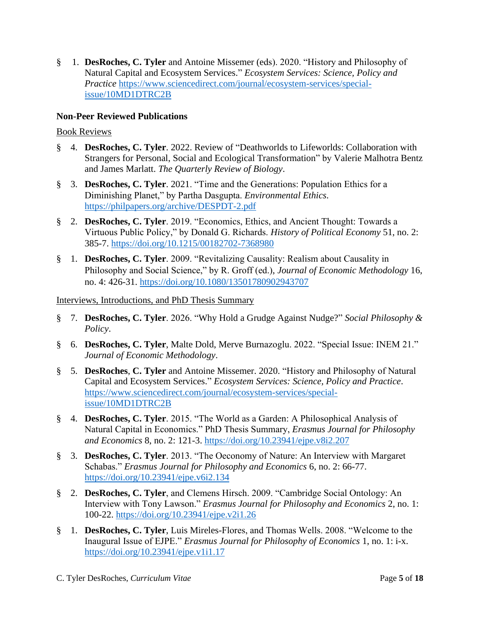§1. **DesRoches, C. Tyler** and Antoine Missemer (eds). 2020. "History and Philosophy of Natural Capital and Ecosystem Services." *Ecosystem Services: Science, Policy and Practice* [https://www.sciencedirect.com/journal/ecosystem-services/special](https://www.sciencedirect.com/journal/ecosystem-services/special-issue/10MD1DTRC2B)[issue/10MD1DTRC2B](https://www.sciencedirect.com/journal/ecosystem-services/special-issue/10MD1DTRC2B)

## **Non-Peer Reviewed Publications**

## Book Reviews

- § 4. **DesRoches, C. Tyler**. 2022. Review of "Deathworlds to Lifeworlds: Collaboration with Strangers for Personal, Social and Ecological Transformation" by Valerie Malhotra Bentz and James Marlatt. *The Quarterly Review of Biology*.
- § 3. **DesRoches, C. Tyler**. 2021. "Time and the Generations: Population Ethics for a Diminishing Planet," by Partha Dasgupta. *Environmental Ethics*. <https://philpapers.org/archive/DESPDT-2.pdf>
- § 2. **DesRoches, C. Tyler**. 2019. "Economics, Ethics, and Ancient Thought: Towards a Virtuous Public Policy," by Donald G. Richards. *History of Political Economy* 51, no. 2: 385-7.<https://doi.org/10.1215/00182702-7368980>
- § 1. **DesRoches, C. Tyler**. 2009. "Revitalizing Causality: Realism about Causality in Philosophy and Social Science," by R. Groff (ed.), *Journal of Economic Methodology* 16, no. 4: 426-31.<https://doi.org/10.1080/13501780902943707>

## Interviews, Introductions, and PhD Thesis Summary

- § 7. **DesRoches, C. Tyler**. 2026. "Why Hold a Grudge Against Nudge?" *Social Philosophy & Policy*.
- § 6. **DesRoches, C. Tyler**, Malte Dold, Merve Burnazoglu. 2022. "Special Issue: INEM 21." *Journal of Economic Methodology*.
- § 5. **DesRoches**, **C. Tyler** and Antoine Missemer. 2020. "History and Philosophy of Natural Capital and Ecosystem Services." *Ecosystem Services: Science, Policy and Practice*. [https://www.sciencedirect.com/journal/ecosystem-services/special](https://www.sciencedirect.com/journal/ecosystem-services/special-issue/10MD1DTRC2B)[issue/10MD1DTRC2B](https://www.sciencedirect.com/journal/ecosystem-services/special-issue/10MD1DTRC2B)
- § 4. **DesRoches, C. Tyler**. 2015. "The World as a Garden: A Philosophical Analysis of Natural Capital in Economics." PhD Thesis Summary, *Erasmus Journal for Philosophy and Economics* 8, no. 2: 121-3. <https://doi.org/10.23941/ejpe.v8i2.207>
- § 3. **DesRoches, C. Tyler**. 2013. "The Oeconomy of Nature: An Interview with Margaret Schabas." *Erasmus Journal for Philosophy and Economics* 6, no. 2: 66-77. <https://doi.org/10.23941/ejpe.v6i2.134>
- § 2. **DesRoches, C. Tyler**, and Clemens Hirsch. 2009. "Cambridge Social Ontology: An Interview with Tony Lawson." *Erasmus Journal for Philosophy and Economics* 2, no. 1: 100-22. <https://doi.org/10.23941/ejpe.v2i1.26>
- § 1. **DesRoches, C. Tyler**, Luis Mireles-Flores, and Thomas Wells. 2008. "Welcome to the Inaugural Issue of EJPE." *Erasmus Journal for Philosophy of Economics* 1, no. 1: i-x. <https://doi.org/10.23941/ejpe.v1i1.17>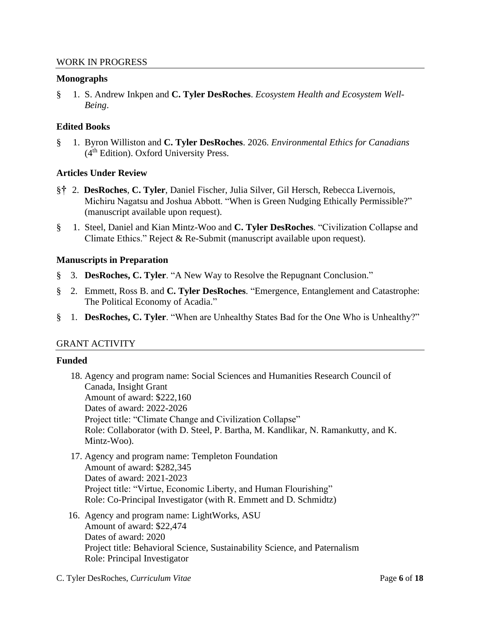## **Monographs**

§ 1. S. Andrew Inkpen and **C. Tyler DesRoches**. *Ecosystem Health and Ecosystem Well-Being*.

## **Edited Books**

§ 1. Byron Williston and **C. Tyler DesRoches**. 2026. *Environmental Ethics for Canadians* (4th Edition). Oxford University Press.

## **Articles Under Review**

- §**†** 2. **DesRoches**, **C. Tyler**, Daniel Fischer, Julia Silver, Gil Hersch, Rebecca Livernois, Michiru Nagatsu and Joshua Abbott. "When is Green Nudging Ethically Permissible?" (manuscript available upon request).
- § 1. Steel, Daniel and Kian Mintz-Woo and **C. Tyler DesRoches**. "Civilization Collapse and Climate Ethics." Reject & Re-Submit (manuscript available upon request).

## **Manuscripts in Preparation**

- § 3. **DesRoches, C. Tyler**. "A New Way to Resolve the Repugnant Conclusion."
- § 2. Emmett, Ross B. and **C. Tyler DesRoches**. "Emergence, Entanglement and Catastrophe: The Political Economy of Acadia."
- § 1. **DesRoches, C. Tyler**. "When are Unhealthy States Bad for the One Who is Unhealthy?"

## GRANT ACTIVITY

## **Funded**

- 18. Agency and program name: Social Sciences and Humanities Research Council of Canada, Insight Grant Amount of award: \$222,160 Dates of award: 2022-2026 Project title: "Climate Change and Civilization Collapse" Role: Collaborator (with D. Steel, P. Bartha, M. Kandlikar, N. Ramankutty, and K. Mintz-Woo).
- 17. Agency and program name: Templeton Foundation Amount of award: \$282,345 Dates of award: 2021-2023 Project title: "Virtue, Economic Liberty, and Human Flourishing" Role: Co-Principal Investigator (with R. Emmett and D. Schmidtz)
- 16. Agency and program name: LightWorks, ASU Amount of award: \$22,474 Dates of award: 2020 Project title: Behavioral Science, Sustainability Science, and Paternalism Role: Principal Investigator
- C. Tyler DesRoches, *Curriculum Vitae* Page 6 of 18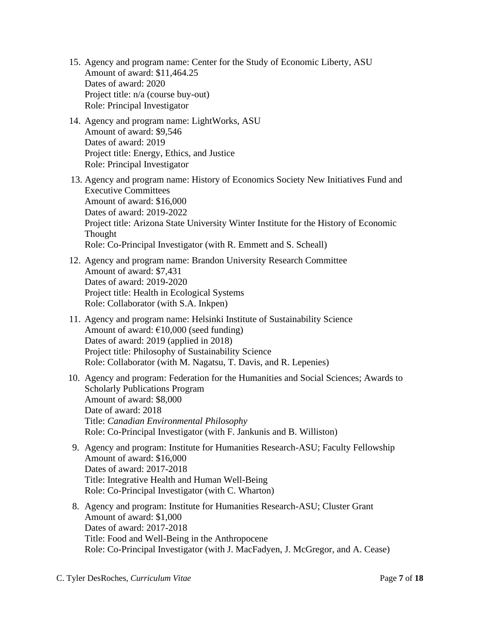- 15. Agency and program name: Center for the Study of Economic Liberty, ASU Amount of award: \$11,464.25 Dates of award: 2020 Project title: n/a (course buy-out) Role: Principal Investigator
- 14. Agency and program name: LightWorks, ASU Amount of award: \$9,546 Dates of award: 2019 Project title: Energy, Ethics, and Justice Role: Principal Investigator
- 13. Agency and program name: History of Economics Society New Initiatives Fund and Executive Committees Amount of award: \$16,000 Dates of award: 2019-2022 Project title: Arizona State University Winter Institute for the History of Economic Thought Role: Co-Principal Investigator (with R. Emmett and S. Scheall)
- 12. Agency and program name: Brandon University Research Committee Amount of award: \$7,431 Dates of award: 2019-2020 Project title: Health in Ecological Systems Role: Collaborator (with S.A. Inkpen)
- 11. Agency and program name: Helsinki Institute of Sustainability Science Amount of award:  $£10,000$  (seed funding) Dates of award: 2019 (applied in 2018) Project title: Philosophy of Sustainability Science Role: Collaborator (with M. Nagatsu, T. Davis, and R. Lepenies)
- 10. Agency and program: Federation for the Humanities and Social Sciences; Awards to Scholarly Publications Program Amount of award: \$8,000 Date of award: 2018 Title: *Canadian Environmental Philosophy* Role: Co-Principal Investigator (with F. Jankunis and B. Williston)
- 9. Agency and program: Institute for Humanities Research-ASU; Faculty Fellowship Amount of award: \$16,000 Dates of award: 2017-2018 Title: Integrative Health and Human Well-Being Role: Co-Principal Investigator (with C. Wharton)
- 8. Agency and program: Institute for Humanities Research-ASU; Cluster Grant Amount of award: \$1,000 Dates of award: 2017-2018 Title: Food and Well-Being in the Anthropocene Role: Co-Principal Investigator (with J. MacFadyen, J. McGregor, and A. Cease)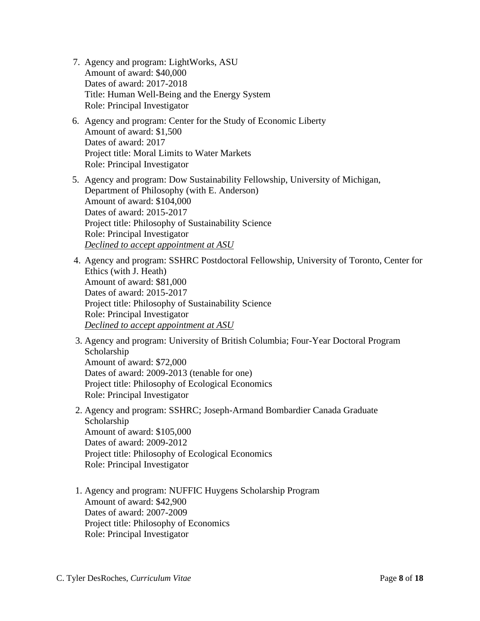- 7. Agency and program: LightWorks, ASU Amount of award: \$40,000 Dates of award: 2017-2018 Title: Human Well-Being and the Energy System Role: Principal Investigator
- 6. Agency and program: Center for the Study of Economic Liberty Amount of award: \$1,500 Dates of award: 2017 Project title: Moral Limits to Water Markets Role: Principal Investigator
- 5. Agency and program: Dow Sustainability Fellowship, University of Michigan, Department of Philosophy (with E. Anderson) Amount of award: \$104,000 Dates of award: 2015-2017 Project title: Philosophy of Sustainability Science Role: Principal Investigator *Declined to accept appointment at ASU*
- 4. Agency and program: SSHRC Postdoctoral Fellowship, University of Toronto, Center for Ethics (with J. Heath) Amount of award: \$81,000 Dates of award: 2015-2017 Project title: Philosophy of Sustainability Science Role: Principal Investigator *Declined to accept appointment at ASU*
- 3. Agency and program: University of British Columbia; Four-Year Doctoral Program Scholarship Amount of award: \$72,000 Dates of award: 2009-2013 (tenable for one) Project title: Philosophy of Ecological Economics Role: Principal Investigator
- 2. Agency and program: SSHRC; Joseph-Armand Bombardier Canada Graduate Scholarship Amount of award: \$105,000 Dates of award: 2009-2012 Project title: Philosophy of Ecological Economics Role: Principal Investigator
- 1. Agency and program: NUFFIC Huygens Scholarship Program Amount of award: \$42,900 Dates of award: 2007-2009 Project title: Philosophy of Economics Role: Principal Investigator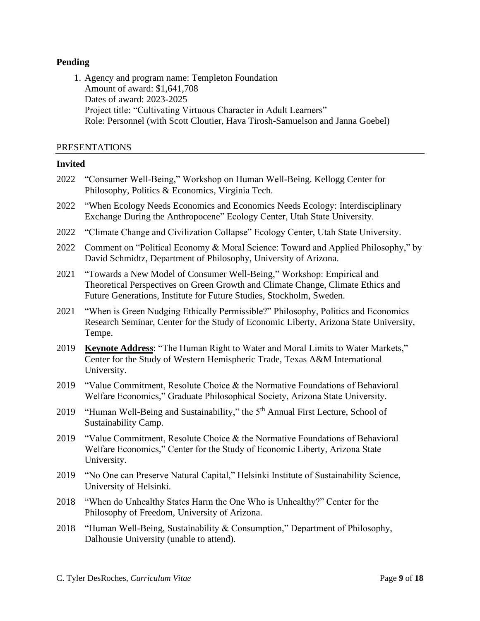## **Pending**

1. Agency and program name: Templeton Foundation Amount of award: \$1,641,708 Dates of award: 2023-2025 Project title: "Cultivating Virtuous Character in Adult Learners" Role: Personnel (with Scott Cloutier, Hava Tirosh-Samuelson and Janna Goebel)

#### PRESENTATIONS

## **Invited**

| 2022 "Consumer Well-Being," Workshop on Human Well-Being. Kellogg Center for |
|------------------------------------------------------------------------------|
| Philosophy, Politics & Economics, Virginia Tech.                             |

- 2022 "When Ecology Needs Economics and Economics Needs Ecology: Interdisciplinary Exchange During the Anthropocene" Ecology Center, Utah State University.
- 2022 "Climate Change and Civilization Collapse" Ecology Center, Utah State University.
- 2022 Comment on "Political Economy & Moral Science: Toward and Applied Philosophy," by David Schmidtz, Department of Philosophy, University of Arizona.
- 2021 "Towards a New Model of Consumer Well-Being," Workshop: Empirical and Theoretical Perspectives on Green Growth and Climate Change, Climate Ethics and Future Generations, Institute for Future Studies, Stockholm, Sweden.
- 2021 "When is Green Nudging Ethically Permissible?" Philosophy, Politics and Economics Research Seminar, Center for the Study of Economic Liberty, Arizona State University, Tempe.
- 2019 **Keynote Address**: "The Human Right to Water and Moral Limits to Water Markets," Center for the Study of Western Hemispheric Trade, Texas A&M International University.
- 2019 "Value Commitment, Resolute Choice & the Normative Foundations of Behavioral Welfare Economics," Graduate Philosophical Society, Arizona State University.
- 2019 "Human Well-Being and Sustainability," the 5<sup>th</sup> Annual First Lecture, School of Sustainability Camp.
- 2019 "Value Commitment, Resolute Choice & the Normative Foundations of Behavioral Welfare Economics," Center for the Study of Economic Liberty, Arizona State University.
- 2019 "No One can Preserve Natural Capital," Helsinki Institute of Sustainability Science, University of Helsinki.
- 2018 "When do Unhealthy States Harm the One Who is Unhealthy?" Center for the Philosophy of Freedom, University of Arizona.
- 2018 "Human Well-Being, Sustainability & Consumption," Department of Philosophy, Dalhousie University (unable to attend).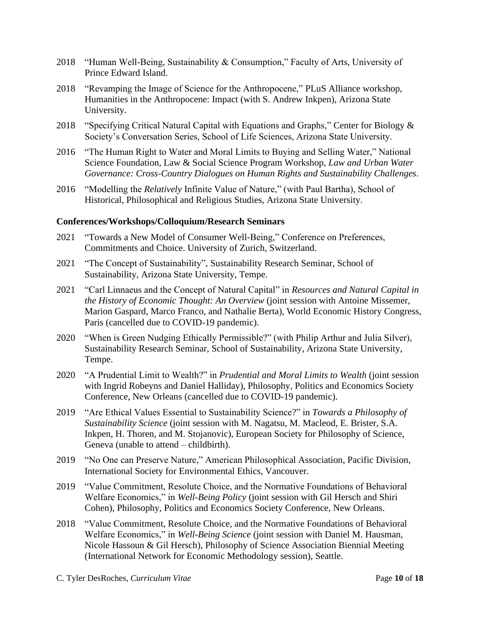- 2018 "Human Well-Being, Sustainability & Consumption," Faculty of Arts, University of Prince Edward Island.
- 2018 "Revamping the Image of Science for the Anthropocene," PLuS Alliance workshop, Humanities in the Anthropocene: Impact (with S. Andrew Inkpen), Arizona State University.
- 2018 "Specifying Critical Natural Capital with Equations and Graphs," Center for Biology & Society's Conversation Series, School of Life Sciences, Arizona State University.
- 2016 "The Human Right to Water and Moral Limits to Buying and Selling Water," National Science Foundation, Law & Social Science Program Workshop, *Law and Urban Water Governance: Cross-Country Dialogues on Human Rights and Sustainability Challenges*.
- 2016 "Modelling the *Relatively* Infinite Value of Nature," (with Paul Bartha), School of Historical, Philosophical and Religious Studies, Arizona State University.

## **Conferences/Workshops/Colloquium/Research Seminars**

- 2021 "Towards a New Model of Consumer Well-Being," Conference on Preferences, Commitments and Choice. University of Zurich, Switzerland.
- 2021 "The Concept of Sustainability", Sustainability Research Seminar, School of Sustainability, Arizona State University, Tempe.
- 2021 "Carl Linnaeus and the Concept of Natural Capital" in *Resources and Natural Capital in the History of Economic Thought: An Overview* (joint session with Antoine Missemer, Marion Gaspard, Marco Franco, and Nathalie Berta), World Economic History Congress, Paris (cancelled due to COVID-19 pandemic).
- 2020 "When is Green Nudging Ethically Permissible?" (with Philip Arthur and Julia Silver), Sustainability Research Seminar, School of Sustainability, Arizona State University, Tempe.
- 2020 "A Prudential Limit to Wealth?" in *Prudential and Moral Limits to Wealth* (joint session with Ingrid Robeyns and Daniel Halliday), Philosophy, Politics and Economics Society Conference, New Orleans (cancelled due to COVID-19 pandemic).
- 2019 "Are Ethical Values Essential to Sustainability Science?" in *Towards a Philosophy of Sustainability Science* (joint session with M. Nagatsu, M. Macleod, E. Brister, S.A. Inkpen, H. Thoren, and M. Stojanovic), European Society for Philosophy of Science, Geneva (unable to attend – childbirth).
- 2019 "No One can Preserve Nature," American Philosophical Association, Pacific Division, International Society for Environmental Ethics, Vancouver.
- 2019 "Value Commitment, Resolute Choice, and the Normative Foundations of Behavioral Welfare Economics," in *Well-Being Policy* (joint session with Gil Hersch and Shiri Cohen), Philosophy, Politics and Economics Society Conference, New Orleans.
- 2018 "Value Commitment, Resolute Choice, and the Normative Foundations of Behavioral Welfare Economics," in *Well-Being Science* (joint session with Daniel M. Hausman, Nicole Hassoun & Gil Hersch), Philosophy of Science Association Biennial Meeting (International Network for Economic Methodology session), Seattle.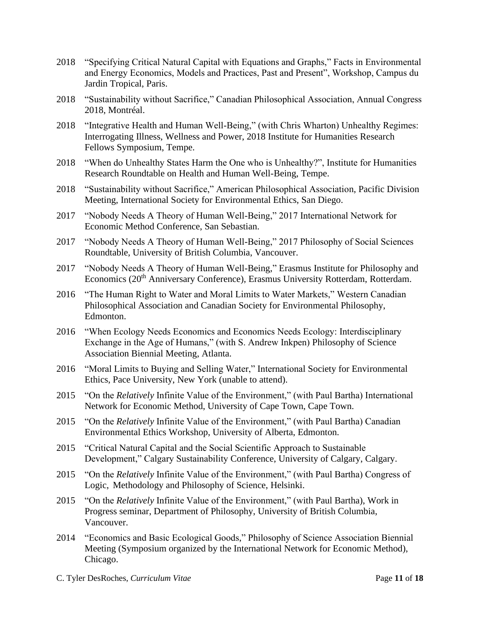- 2018 "Specifying Critical Natural Capital with Equations and Graphs," Facts in Environmental and Energy Economics, Models and Practices, Past and Present", Workshop, Campus du Jardin Tropical, Paris.
- 2018 "Sustainability without Sacrifice," Canadian Philosophical Association, Annual Congress 2018, Montréal.
- 2018 "Integrative Health and Human Well-Being," (with Chris Wharton) Unhealthy Regimes: Interrogating Illness, Wellness and Power, 2018 Institute for Humanities Research Fellows Symposium, Tempe.
- 2018 "When do Unhealthy States Harm the One who is Unhealthy?", Institute for Humanities Research Roundtable on Health and Human Well-Being, Tempe.
- 2018 "Sustainability without Sacrifice," American Philosophical Association, Pacific Division Meeting, International Society for Environmental Ethics, San Diego.
- 2017 "Nobody Needs A Theory of Human Well-Being," 2017 International Network for Economic Method Conference, San Sebastian.
- 2017 "Nobody Needs A Theory of Human Well-Being," 2017 Philosophy of Social Sciences Roundtable, University of British Columbia, Vancouver.
- 2017 "Nobody Needs A Theory of Human Well-Being," Erasmus Institute for Philosophy and Economics (20<sup>th</sup> Anniversary Conference), Erasmus University Rotterdam, Rotterdam.
- 2016 "The Human Right to Water and Moral Limits to Water Markets," Western Canadian Philosophical Association and Canadian Society for Environmental Philosophy, Edmonton.
- 2016 "When Ecology Needs Economics and Economics Needs Ecology: Interdisciplinary Exchange in the Age of Humans," (with S. Andrew Inkpen) Philosophy of Science Association Biennial Meeting, Atlanta.
- 2016 "Moral Limits to Buying and Selling Water," International Society for Environmental Ethics, Pace University, New York (unable to attend).
- 2015 "On the *Relatively* Infinite Value of the Environment," (with Paul Bartha) International Network for Economic Method, University of Cape Town, Cape Town.
- 2015 "On the *Relatively* Infinite Value of the Environment," (with Paul Bartha) Canadian Environmental Ethics Workshop, University of Alberta, Edmonton.
- 2015 "Critical Natural Capital and the Social Scientific Approach to Sustainable Development," Calgary Sustainability Conference, University of Calgary, Calgary.
- 2015 "On the *Relatively* Infinite Value of the Environment," (with Paul Bartha) Congress of Logic, Methodology and Philosophy of Science, Helsinki.
- 2015 "On the *Relatively* Infinite Value of the Environment," (with Paul Bartha), Work in Progress seminar, Department of Philosophy, University of British Columbia, Vancouver.
- 2014 "Economics and Basic Ecological Goods," Philosophy of Science Association Biennial Meeting (Symposium organized by the International Network for Economic Method), Chicago.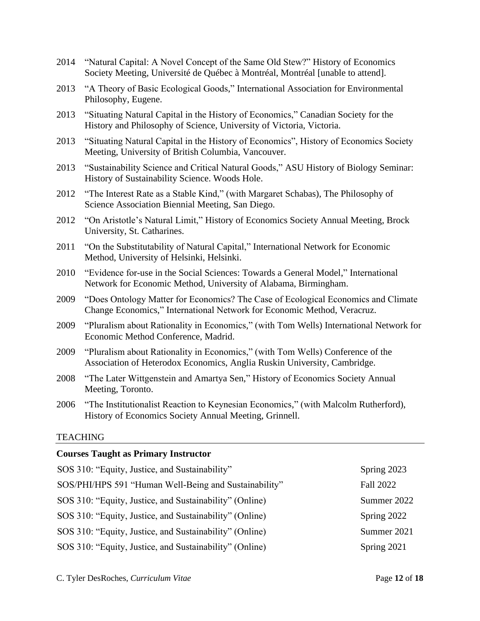- 2014 "Natural Capital: A Novel Concept of the Same Old Stew?" History of Economics Society Meeting, Université de Québec à Montréal, Montréal [unable to attend].
- 2013 "A Theory of Basic Ecological Goods," International Association for Environmental Philosophy, Eugene.
- 2013 "Situating Natural Capital in the History of Economics," Canadian Society for the History and Philosophy of Science, University of Victoria, Victoria.
- 2013 "Situating Natural Capital in the History of Economics", History of Economics Society Meeting, University of British Columbia, Vancouver.
- 2013 "Sustainability Science and Critical Natural Goods," ASU History of Biology Seminar: History of Sustainability Science. Woods Hole.
- 2012 "The Interest Rate as a Stable Kind," (with Margaret Schabas), The Philosophy of Science Association Biennial Meeting, San Diego.
- 2012 "On Aristotle's Natural Limit," History of Economics Society Annual Meeting, Brock University, St. Catharines.
- 2011 "On the Substitutability of Natural Capital," International Network for Economic Method, University of Helsinki, Helsinki.
- 2010 "Evidence for-use in the Social Sciences: Towards a General Model," International Network for Economic Method, University of Alabama, Birmingham.
- 2009 "Does Ontology Matter for Economics? The Case of Ecological Economics and Climate Change Economics," International Network for Economic Method, Veracruz.
- 2009 "Pluralism about Rationality in Economics," (with Tom Wells) International Network for Economic Method Conference, Madrid.
- 2009 "Pluralism about Rationality in Economics," (with Tom Wells) Conference of the Association of Heterodox Economics, Anglia Ruskin University, Cambridge.
- 2008 "The Later Wittgenstein and Amartya Sen," History of Economics Society Annual Meeting, Toronto.
- 2006 "The Institutionalist Reaction to Keynesian Economics," (with Malcolm Rutherford), History of Economics Society Annual Meeting, Grinnell.

## TEACHING

# **Courses Taught as Primary Instructor**

| SOS 310: "Equity, Justice, and Sustainability"          | Spring 2023 |
|---------------------------------------------------------|-------------|
| SOS/PHI/HPS 591 "Human Well-Being and Sustainability"   | Fall 2022   |
| SOS 310: "Equity, Justice, and Sustainability" (Online) | Summer 2022 |
| SOS 310: "Equity, Justice, and Sustainability" (Online) | Spring 2022 |
| SOS 310: "Equity, Justice, and Sustainability" (Online) | Summer 2021 |
| SOS 310: "Equity, Justice, and Sustainability" (Online) | Spring 2021 |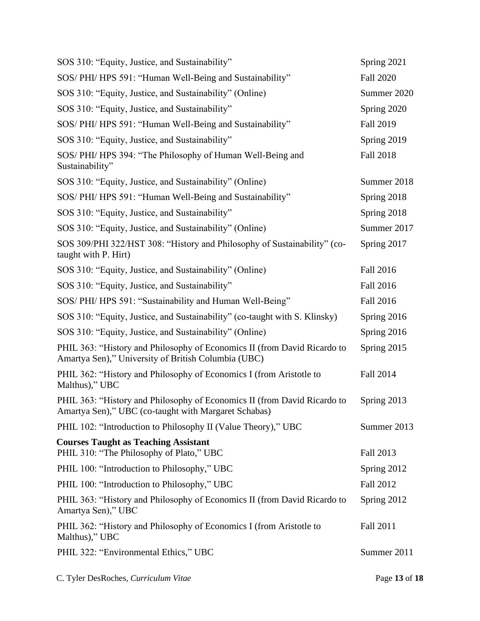| SOS 310: "Equity, Justice, and Sustainability"                                                                                   | Spring 2021      |
|----------------------------------------------------------------------------------------------------------------------------------|------------------|
| SOS/ PHI/ HPS 591: "Human Well-Being and Sustainability"                                                                         | <b>Fall 2020</b> |
| SOS 310: "Equity, Justice, and Sustainability" (Online)                                                                          | Summer 2020      |
| SOS 310: "Equity, Justice, and Sustainability"                                                                                   | Spring 2020      |
| SOS/ PHI/ HPS 591: "Human Well-Being and Sustainability"                                                                         | Fall 2019        |
| SOS 310: "Equity, Justice, and Sustainability"                                                                                   | Spring 2019      |
| SOS/PHI/HPS 394: "The Philosophy of Human Well-Being and<br>Sustainability"                                                      | <b>Fall 2018</b> |
| SOS 310: "Equity, Justice, and Sustainability" (Online)                                                                          | Summer 2018      |
| SOS/ PHI/ HPS 591: "Human Well-Being and Sustainability"                                                                         | Spring 2018      |
| SOS 310: "Equity, Justice, and Sustainability"                                                                                   | Spring 2018      |
| SOS 310: "Equity, Justice, and Sustainability" (Online)                                                                          | Summer 2017      |
| SOS 309/PHI 322/HST 308: "History and Philosophy of Sustainability" (co-<br>taught with P. Hirt)                                 | Spring 2017      |
| SOS 310: "Equity, Justice, and Sustainability" (Online)                                                                          | Fall 2016        |
| SOS 310: "Equity, Justice, and Sustainability"                                                                                   | Fall 2016        |
| SOS/ PHI/ HPS 591: "Sustainability and Human Well-Being"                                                                         | Fall 2016        |
| SOS 310: "Equity, Justice, and Sustainability" (co-taught with S. Klinsky)                                                       | Spring 2016      |
| SOS 310: "Equity, Justice, and Sustainability" (Online)                                                                          | Spring 2016      |
| PHIL 363: "History and Philosophy of Economics II (from David Ricardo to<br>Amartya Sen)," University of British Columbia (UBC)  | Spring 2015      |
| PHIL 362: "History and Philosophy of Economics I (from Aristotle to<br>Malthus)," UBC                                            | Fall 2014        |
| PHIL 363: "History and Philosophy of Economics II (from David Ricardo to<br>Amartya Sen)," UBC (co-taught with Margaret Schabas) | Spring 2013      |
| PHIL 102: "Introduction to Philosophy II (Value Theory)," UBC                                                                    | Summer 2013      |
| <b>Courses Taught as Teaching Assistant</b><br>PHIL 310: "The Philosophy of Plato," UBC                                          | Fall 2013        |
| PHIL 100: "Introduction to Philosophy," UBC                                                                                      | Spring 2012      |
| PHIL 100: "Introduction to Philosophy," UBC                                                                                      | Fall 2012        |
| PHIL 363: "History and Philosophy of Economics II (from David Ricardo to<br>Amartya Sen)," UBC                                   | Spring 2012      |
| PHIL 362: "History and Philosophy of Economics I (from Aristotle to<br>Malthus)," UBC                                            | Fall 2011        |
| PHIL 322: "Environmental Ethics," UBC                                                                                            | Summer 2011      |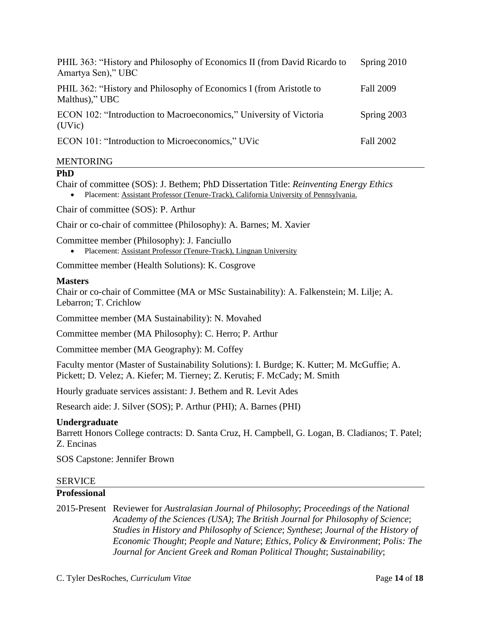| PHIL 363: "History and Philosophy of Economics II (from David Ricardo to<br>Amartya Sen)," UBC | Spring 2010      |
|------------------------------------------------------------------------------------------------|------------------|
| PHIL 362: "History and Philosophy of Economics I (from Aristotle to<br>Malthus)," UBC          | <b>Fall 2009</b> |
| ECON 102: "Introduction to Macroeconomics," University of Victoria<br>(UVic)                   | Spring 2003      |
| ECON 101: "Introduction to Microeconomics," UVic                                               | Fall 2002        |

## MENTORING

#### **PhD**

Chair of committee (SOS): J. Bethem; PhD Dissertation Title: *Reinventing Energy Ethics*

• Placement: Assistant Professor (Tenure-Track), California University of Pennsylvania.

Chair of committee (SOS): P. Arthur

Chair or co-chair of committee (Philosophy): A. Barnes; M. Xavier

Committee member (Philosophy): J. Fanciullo

• Placement: Assistant Professor (Tenure-Track), Lingnan University

Committee member (Health Solutions): K. Cosgrove

#### **Masters**

Chair or co-chair of Committee (MA or MSc Sustainability): A. Falkenstein; M. Lilje; A. Lebarron; T. Crichlow

Committee member (MA Sustainability): N. Movahed

Committee member (MA Philosophy): C. Herro; P. Arthur

Committee member (MA Geography): M. Coffey

Faculty mentor (Master of Sustainability Solutions): I. Burdge; K. Kutter; M. McGuffie; A. Pickett; D. Velez; A. Kiefer; M. Tierney; Z. Kerutis; F. McCady; M. Smith

Hourly graduate services assistant: J. Bethem and R. Levit Ades

Research aide: J. Silver (SOS); P. Arthur (PHI); A. Barnes (PHI)

#### **Undergraduate**

Barrett Honors College contracts: D. Santa Cruz, H. Campbell, G. Logan, B. Cladianos; T. Patel; Z. Encinas

SOS Capstone: Jennifer Brown

# SERVICE

#### **Professional**

2015-Present Reviewer for *Australasian Journal of Philosophy*; *Proceedings of the National Academy of the Sciences (USA)*; *The British Journal for Philosophy of Science*; *Studies in History and Philosophy of Science*; *Synthese*; *Journal of the History of Economic Thought*; *People and Nature*; *Ethics, Policy & Environment*; *Polis: The Journal for Ancient Greek and Roman Political Thought*; *Sustainability*;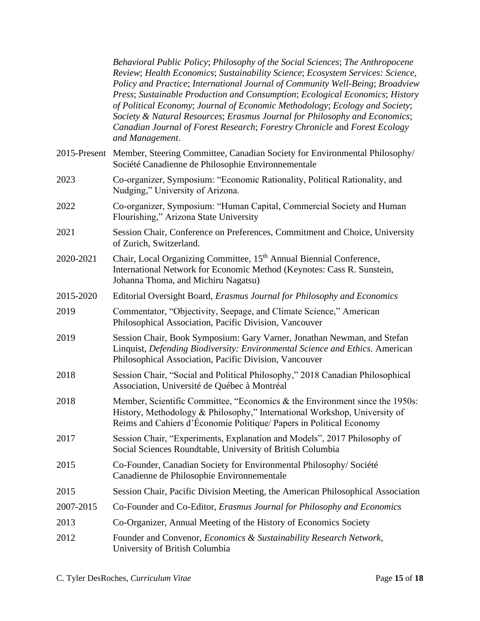*Behavioral Public Policy*; *Philosophy of the Social Sciences*; *The Anthropocene Review*; *Health Economics*; *Sustainability Science*; *Ecosystem Services: Science, Policy and Practice*; *International Journal of Community Well-Being*; *Broadview Press*; *Sustainable Production and Consumption*; *Ecological Economics*; *History of Political Economy*; *Journal of Economic Methodology*; *Ecology and Society*; *Society & Natural Resources*; *Erasmus Journal for Philosophy and Economics*; *Canadian Journal of Forest Research*; *Forestry Chronicle* and *Forest Ecology and Management*.

- 2015-Present Member, Steering Committee, Canadian Society for Environmental Philosophy/ Société Canadienne de Philosophie Environnementale
- 2023 Co-organizer, Symposium: "Economic Rationality, Political Rationality, and Nudging," University of Arizona.
- 2022 Co-organizer, Symposium: "Human Capital, Commercial Society and Human Flourishing," Arizona State University
- 2021 Session Chair, Conference on Preferences, Commitment and Choice, University of Zurich, Switzerland.
- 2020-2021 Chair, Local Organizing Committee, 15<sup>th</sup> Annual Biennial Conference, International Network for Economic Method (Keynotes: Cass R. Sunstein, Johanna Thoma, and Michiru Nagatsu)
- 2015-2020 Editorial Oversight Board, *Erasmus Journal for Philosophy and Economics*
- 2019 Commentator, "Objectivity, Seepage, and Climate Science," American Philosophical Association, Pacific Division, Vancouver
- 2019 Session Chair, Book Symposium: Gary Varner, Jonathan Newman, and Stefan Linquist, *Defending Biodiversity: Environmental Science and Ethics*. American Philosophical Association, Pacific Division, Vancouver
- 2018 Session Chair, "Social and Political Philosophy," 2018 Canadian Philosophical Association, Université de Québec à Montréal
- 2018 Member, Scientific Committee, "Economics & the Environment since the 1950s: History, Methodology & Philosophy," International Workshop, University of Reims and Cahiers d'Économie Politique/ Papers in Political Economy
- 2017 Session Chair, "Experiments, Explanation and Models", 2017 Philosophy of Social Sciences Roundtable, University of British Columbia
- 2015 Co-Founder, Canadian Society for Environmental Philosophy/ Société Canadienne de Philosophie Environnementale
- 2015 Session Chair, Pacific Division Meeting, the American Philosophical Association
- 2007-2015 Co-Founder and Co-Editor, *Erasmus Journal for Philosophy and Economics*
- 2013 Co-Organizer, Annual Meeting of the History of Economics Society
- 2012 Founder and Convenor, *Economics & Sustainability Research Network*, University of British Columbia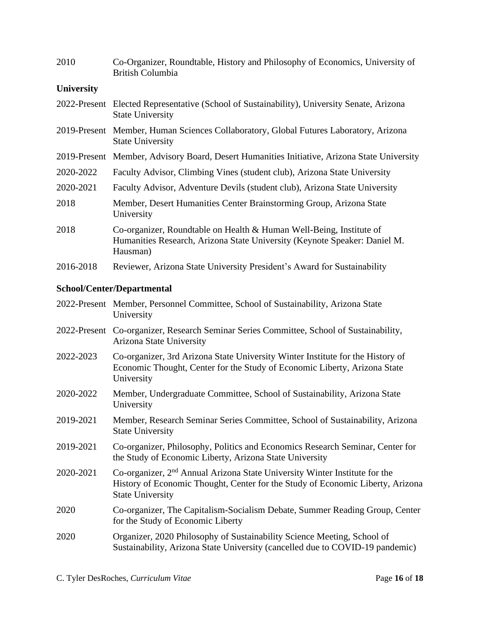| 2010              | Co-Organizer, Roundtable, History and Philosophy of Economics, University of<br><b>British Columbia</b>                                                                                             |
|-------------------|-----------------------------------------------------------------------------------------------------------------------------------------------------------------------------------------------------|
| <b>University</b> |                                                                                                                                                                                                     |
|                   | 2022-Present Elected Representative (School of Sustainability), University Senate, Arizona<br><b>State University</b>                                                                               |
|                   | 2019-Present Member, Human Sciences Collaboratory, Global Futures Laboratory, Arizona<br><b>State University</b>                                                                                    |
|                   | 2019-Present Member, Advisory Board, Desert Humanities Initiative, Arizona State University                                                                                                         |
| 2020-2022         | Faculty Advisor, Climbing Vines (student club), Arizona State University                                                                                                                            |
| 2020-2021         | Faculty Advisor, Adventure Devils (student club), Arizona State University                                                                                                                          |
| 2018              | Member, Desert Humanities Center Brainstorming Group, Arizona State<br>University                                                                                                                   |
| 2018              | Co-organizer, Roundtable on Health & Human Well-Being, Institute of<br>Humanities Research, Arizona State University (Keynote Speaker: Daniel M.<br>Hausman)                                        |
| 2016-2018         | Reviewer, Arizona State University President's Award for Sustainability                                                                                                                             |
|                   | School/Center/Departmental                                                                                                                                                                          |
|                   | 2022-Present Member, Personnel Committee, School of Sustainability, Arizona State<br>University                                                                                                     |
|                   | 2022-Present Co-organizer, Research Seminar Series Committee, School of Sustainability,<br>Arizona State University                                                                                 |
| 2022-2023         | Co-organizer, 3rd Arizona State University Winter Institute for the History of<br>Economic Thought, Center for the Study of Economic Liberty, Arizona State<br>University                           |
| 2020-2022         | Member, Undergraduate Committee, School of Sustainability, Arizona State<br>University                                                                                                              |
| 2019-2021         | Member, Research Seminar Series Committee, School of Sustainability, Arizona<br><b>State University</b>                                                                                             |
| 2019-2021         | Co-organizer, Philosophy, Politics and Economics Research Seminar, Center for<br>the Study of Economic Liberty, Arizona State University                                                            |
| 2020-2021         | Co-organizer, 2 <sup>nd</sup> Annual Arizona State University Winter Institute for the<br>History of Economic Thought, Center for the Study of Economic Liberty, Arizona<br><b>State University</b> |
| 2020              | Co-organizer, The Capitalism-Socialism Debate, Summer Reading Group, Center<br>for the Study of Economic Liberty                                                                                    |
| 2020              | Organizer, 2020 Philosophy of Sustainability Science Meeting, School of<br>Sustainability, Arizona State University (cancelled due to COVID-19 pandemic)                                            |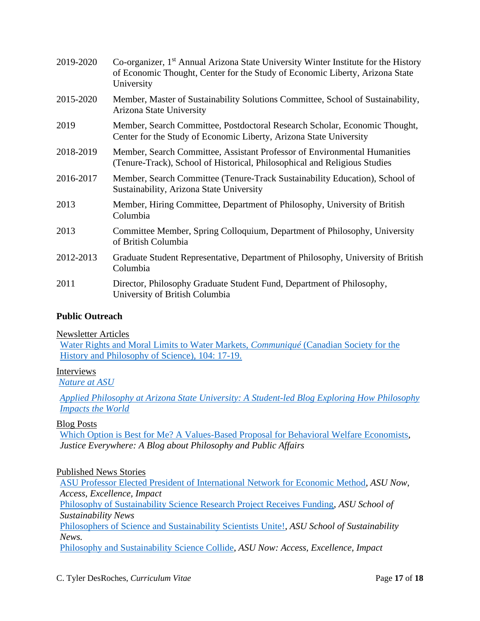| 2019-2020 | Co-organizer, 1 <sup>st</sup> Annual Arizona State University Winter Institute for the History<br>of Economic Thought, Center for the Study of Economic Liberty, Arizona State<br>University |
|-----------|----------------------------------------------------------------------------------------------------------------------------------------------------------------------------------------------|
| 2015-2020 | Member, Master of Sustainability Solutions Committee, School of Sustainability,<br>Arizona State University                                                                                  |
| 2019      | Member, Search Committee, Postdoctoral Research Scholar, Economic Thought,<br>Center for the Study of Economic Liberty, Arizona State University                                             |
| 2018-2019 | Member, Search Committee, Assistant Professor of Environmental Humanities<br>(Tenure-Track), School of Historical, Philosophical and Religious Studies                                       |
| 2016-2017 | Member, Search Committee (Tenure-Track Sustainability Education), School of<br>Sustainability, Arizona State University                                                                      |
| 2013      | Member, Hiring Committee, Department of Philosophy, University of British<br>Columbia                                                                                                        |
| 2013      | Committee Member, Spring Colloquium, Department of Philosophy, University<br>of British Columbia                                                                                             |
| 2012-2013 | Graduate Student Representative, Department of Philosophy, University of British<br>Columbia                                                                                                 |
| 2011      | Director, Philosophy Graduate Student Fund, Department of Philosophy,<br>University of British Columbia                                                                                      |

# **Public Outreach**

Newsletter Articles

[Water Rights and Moral Limits to Water Markets,](http://www.yorku.ca/cshps1/communique.html) *Communiqué* (Canadian Society for the [History and Philosophy of Science\), 104: 17-19.](http://www.yorku.ca/cshps1/communique.html)

# **Interviews**

*[Nature at ASU](https://mcusercontent.com/7f68dadce3234a4a9c161f1f9/files/744c354e-11ac-5494-89fa-288e38580d8e/Informational_Interview_Dr._Tyler_Desroches.pdf?utm_source=Nature+at+ASU&utm_campaign=f85c95bde2-EMAIL_CAMPAIGN_2021_06_08_05_29&utm_medium=email&utm_term=0_d12dda05ed-f85c95bde2-372444997)*

*[Applied Philosophy at Arizona State University: A Student-led Blog Exploring How Philosophy](https://asuappliedphilosophyblog.com/2021/01/08/interview-with-tyler-desroches/)  [Impacts the World](https://asuappliedphilosophyblog.com/2021/01/08/interview-with-tyler-desroches/)*

## Blog Posts

Which Option is Best for Me? A Values-Based Proposal for Behavioral Welfare [Economists,](http://justice-everywhere.org/economics/which-option-is-best-for-me-a-values-based-proposal-for-behavioral-economists/) *Justice Everywhere: A Blog about Philosophy and Public Affairs*

## Published News Stories

[ASU Professor Elected President of International Network for Economic Method,](https://asunow.asu.edu/20200619-asu-professor-elected-president-international-network-economic-method) *ASU Now, Access, Excellence, Impact* [Philosophy of Sustainability Science Research Project Receives Funding,](https://schoolofsustainability.asu.edu/news/archive/philosophy-of-sustainability-science-research-project-receives-funding/) *ASU School of Sustainability News* [Philosophers of Science and Sustainability Scientists Unite!,](https://sustainability.asu.edu/news/archive/philosophers-of-science-and-sustainability-scientists-unite/) *ASU School of Sustainability News.* [Philosophy and Sustainability Science Collide,](https://asunow.asu.edu/20190218-creativity-asu-philosophy-and-sustainability-science-collide) *ASU Now: Access, Excellence, Impact*